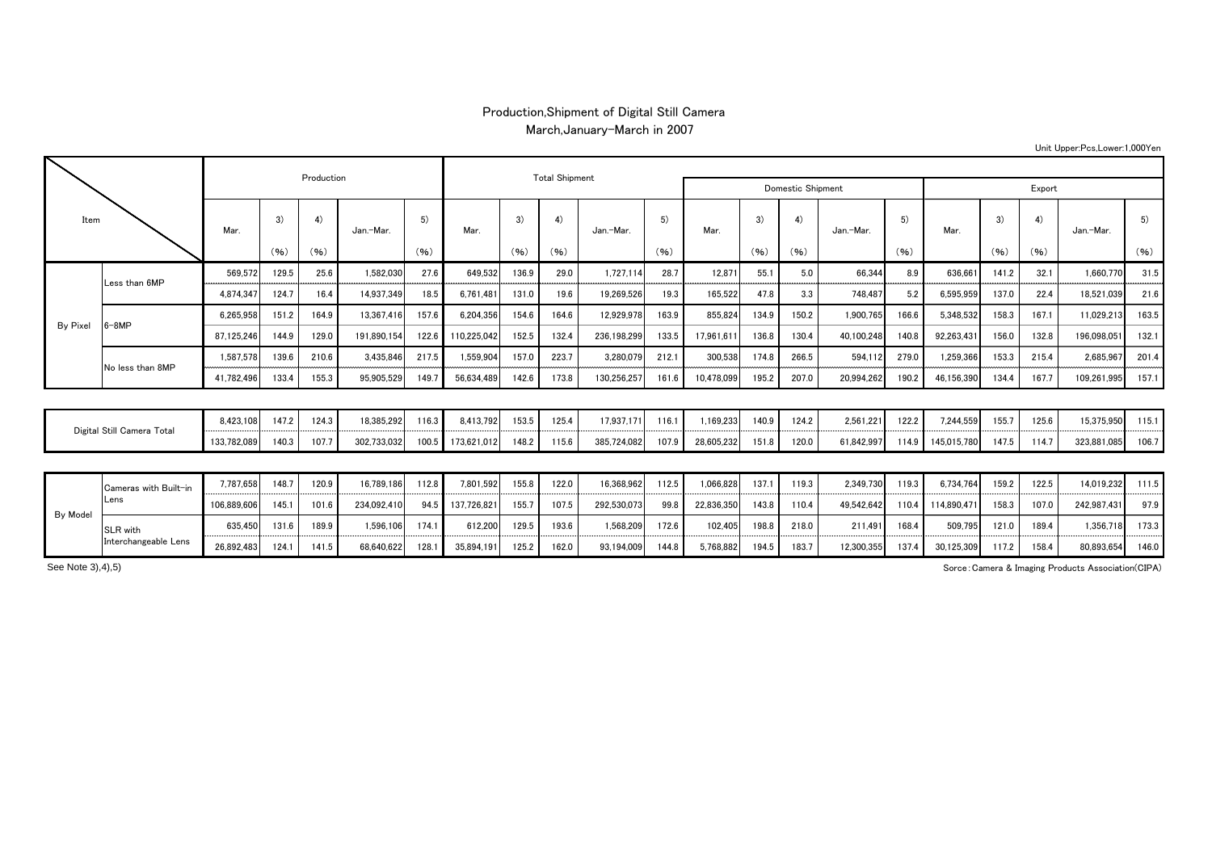## Production,Shipment of Digital Still Camera March,January-March in 2007

| Item                       |                       |             |       | Production |             |            |             | <b>Total Shipment</b> |       |             |            |            |            |                   |            |        |             |       |       |             |       |
|----------------------------|-----------------------|-------------|-------|------------|-------------|------------|-------------|-----------------------|-------|-------------|------------|------------|------------|-------------------|------------|--------|-------------|-------|-------|-------------|-------|
|                            |                       |             |       |            |             |            |             |                       |       |             |            |            |            | Domestic Shipment |            | Export |             |       |       |             |       |
|                            |                       | Mar.        | 3)    | 4)         | Jan.-Mar.   | 5)<br>(96) | Mar.        | $\mathcal{R}$         | 4)    | Jan.-Mar.   | 5)<br>(96) | Mar.       | 3)<br>(96) | 4)<br>(96)        | Jan.-Mar.  | 5)     | Mar.        | 3)    | 4)    | Jan.-Mar.   | 5)    |
|                            |                       |             | (96)  | (96)       |             |            |             | (96)                  | (96)  |             |            |            |            |                   |            | (96)   |             | (96)  | (96)  |             | (96)  |
| By Pixel                   | Less than 6MP         | 569.572     | 129.5 | 25.6       | 1,582,030   | 27.6       | 649,532     | 136.9                 | 29.0  | 1,727,114   | 28.7       | 12.871     | 55.1       | 5.0               | 66,344     | 8.9    | 636.661     | 141.2 | 32.1  | 1.660.770   | 31.5  |
|                            |                       | 4,874,347   | 124.7 | 16.4       | 14,937,349  | 18.5       | 6,761,481   | 131.0                 | 19.6  | 19,269,526  | 19.3       | 165,522    | 47.8       | 3.3               | 748,487    | 5.2    | 6,595,959   | 137.0 | 22.4  | 18,521,039  | 21.6  |
|                            | $6 - 8MP$             | 6,265,958   | 151.2 | 164.9      | 13,367,416  | 157.6      | 6,204,356   | 154.6                 | 164.6 | 12,929,978  | 163.9      | 855,824    | 134.9      | 150.2             | 1,900,765  | 166.6  | 5,348,532   | 158.3 | 167.1 | 11,029,213  | 163.5 |
|                            |                       | 87,125,246  | 144.9 | 129.0      | 191,890,154 | 122.6      | 110,225,042 | 152.5                 | 132.4 | 236,198,299 | 133.5      | 17,961,61  | 136.8      | 130.4             | 40,100,248 | 140.8  | 92,263,431  | 156.0 | 132.8 | 196,098,05  | 132.1 |
|                            | No less than 8MP      | 1,587,578   | 139.6 | 210.6      | 3,435,846   | 217.5      | 1.559.904   | 157.0                 | 223.7 | 3,280,079   | 212.1      | 300.538    | 174.8      | 266.5             | 594,112    | 279.0  | 1.259.366   | 153.3 | 215.4 | 2.685.967   | 201.4 |
|                            |                       | 41,782,496  | 133.4 | 155.3      | 95,905,529  | 149.7      | 56,634,489  | 142.6                 | 173.8 | 130,256,257 | 161.6      | 10,478,099 | 195.2      | 207.0             | 20,994,262 | 190.2  | 46,156,390  | 134.4 | 167.7 | 109,261,995 | 157.1 |
|                            |                       |             |       |            |             |            |             |                       |       |             |            |            |            |                   |            |        |             |       |       |             |       |
| Digital Still Camera Total |                       | 8,423,108   | 147.2 | 124.3      | 18,385,292  | 116.3      | 8,413,792   | 153.5                 | 125.4 | 17,937,171  | 116.1      | 1,169,233  | 140.9      | 124.2             | 2,561,221  | 122.2  | 7,244,559   | 155.7 | 125.6 | 15,375,950  | 115.1 |
|                            |                       | 133,782,089 | 140.3 | 107.7      | 302,733,032 | 100.5      | 173,621,012 | 148.2                 | 115.6 | 385,724,082 | 107.9      | 28,605,232 | 151.8      | 120.0             | 61,842,997 | 114.9  | 145,015,780 | 147.5 | 114.7 | 323,881,085 | 106.7 |
|                            |                       |             |       |            |             |            |             |                       |       |             |            |            |            |                   |            |        |             |       |       |             |       |
| By Model                   | Cameras with Built-in | 7,787,658   | 148.7 | 120.9      | 16,789,186  | 112.8      | 7,801,592   | 155.8                 | 122.0 | 16,368,962  | 112.5      | 1,066,828  | 137.1      | 119.3             | 2,349,730  | 119.3  | 6,734,764   | 159.2 | 122.5 | 14,019,232  | 111.5 |
|                            | Lens                  | 106,889,606 | 145.1 | 101.6      | 234,092,410 | 94.5       | 137,726,821 | 155.7                 | 107.5 | 292,530,073 | 99.8       | 22,836,350 | 143.8      | 110.4             | 49,542,642 | 110.4  | 114,890,471 | 158.3 | 107.0 | 242,987,431 | 97.9  |
|                            | SLR with              | 635,450     | 131.6 | 189.9      | 1,596,106   | 174.1      | 612,200     | 129.5                 | 193.6 | 1,568,209   | 172.6      | 102,405    | 198.8      | 218.0             | 211,491    | 168.4  | 509,795     | 121.0 | 189.4 | 1,356,718   | 173.3 |
|                            | Interchangeable Lens  | 26.892.483  | 124.1 | 141.5      | 68.640.622  | 128.1      | 35.894.191  | 125.2                 | 162.0 | 93.194.009  | 144.8      | 5.768.882  | 194.5      | 183.7             | 12.300.355 | 137.4  | 30.125.309  | 117.2 | 158.4 | 80.893.654  | 146.0 |

Sorce:Camera & Imaging Products Association(CIPA)

See Note 3),4),5)

## Unit Upper:Pcs,Lower:1,000Yen